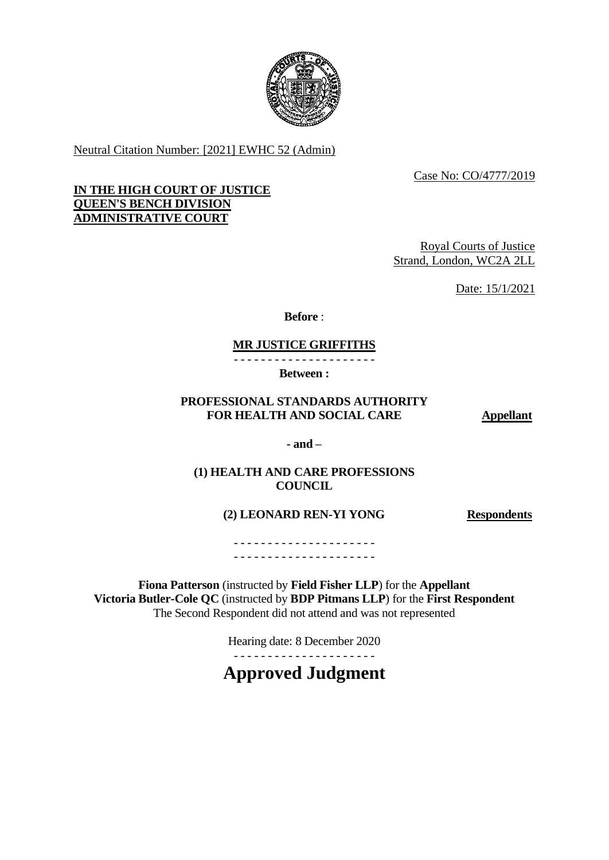

Neutral Citation Number: [2021] EWHC 52 (Admin)

Case No: CO/4777/2019

## **IN THE HIGH COURT OF JUSTICE QUEEN'S BENCH DIVISION ADMINISTRATIVE COURT**

Royal Courts of Justice Strand, London, WC2A 2LL

Date: 15/1/2021

**Before** :

# **MR JUSTICE GRIFFITHS**

- - - - - - - - - - - - - - - - - - - - -

**Between :**

# **PROFESSIONAL STANDARDS AUTHORITY FOR HEALTH AND SOCIAL CARE 4Dpellant**

**- and –**

**(1) HEALTH AND CARE PROFESSIONS COUNCIL**

**(2) LEONARD REN-YI YONG Respondents**

- - - - - - - - - - - - - - - - - - - - - - - - - - - - - - - - - - - - - - - - - -

**Fiona Patterson** (instructed by **Field Fisher LLP**) for the **Appellant Victoria Butler-Cole QC** (instructed by **BDP Pitmans LLP**) for the **First Respondent** The Second Respondent did not attend and was not represented

Hearing date: 8 December 2020

. . <del>.</del> . . . . . . . . . . . . . . . .

**Approved Judgment**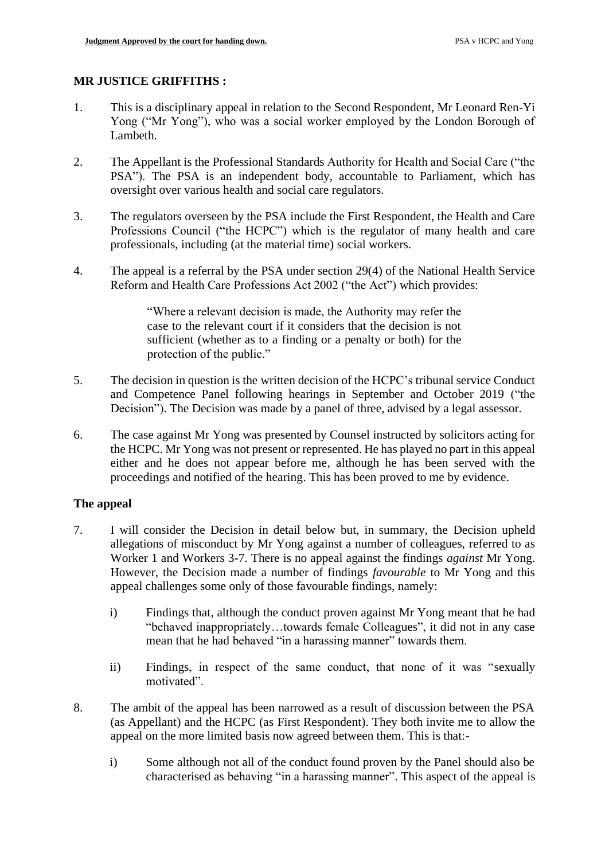# **MR JUSTICE GRIFFITHS :**

- 1. This is a disciplinary appeal in relation to the Second Respondent, Mr Leonard Ren-Yi Yong ("Mr Yong"), who was a social worker employed by the London Borough of Lambeth.
- 2. The Appellant is the Professional Standards Authority for Health and Social Care ("the PSA"). The PSA is an independent body, accountable to Parliament, which has oversight over various health and social care regulators.
- 3. The regulators overseen by the PSA include the First Respondent, the Health and Care Professions Council ("the HCPC") which is the regulator of many health and care professionals, including (at the material time) social workers.
- 4. The appeal is a referral by the PSA under section 29(4) of the National Health Service Reform and Health Care Professions Act 2002 ("the Act") which provides:

"Where a relevant decision is made, the Authority may refer the case to the relevant court if it considers that the decision is not sufficient (whether as to a finding or a penalty or both) for the protection of the public."

- 5. The decision in question is the written decision of the HCPC's tribunal service Conduct and Competence Panel following hearings in September and October 2019 ("the Decision"). The Decision was made by a panel of three, advised by a legal assessor.
- 6. The case against Mr Yong was presented by Counsel instructed by solicitors acting for the HCPC. Mr Yong was not present or represented. He has played no part in this appeal either and he does not appear before me, although he has been served with the proceedings and notified of the hearing. This has been proved to me by evidence.

## **The appeal**

- 7. I will consider the Decision in detail below but, in summary, the Decision upheld allegations of misconduct by Mr Yong against a number of colleagues, referred to as Worker 1 and Workers 3-7. There is no appeal against the findings *against* Mr Yong. However, the Decision made a number of findings *favourable* to Mr Yong and this appeal challenges some only of those favourable findings, namely:
	- i) Findings that, although the conduct proven against Mr Yong meant that he had "behaved inappropriately…towards female Colleagues", it did not in any case mean that he had behaved "in a harassing manner" towards them.
	- ii) Findings, in respect of the same conduct, that none of it was "sexually motivated".
- 8. The ambit of the appeal has been narrowed as a result of discussion between the PSA (as Appellant) and the HCPC (as First Respondent). They both invite me to allow the appeal on the more limited basis now agreed between them. This is that:
	- i) Some although not all of the conduct found proven by the Panel should also be characterised as behaving "in a harassing manner". This aspect of the appeal is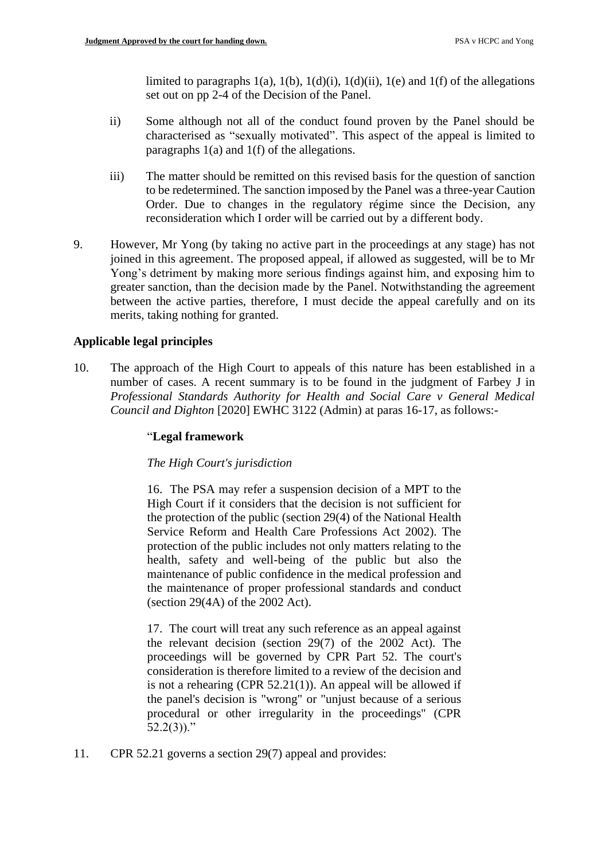limited to paragraphs  $1(a)$ ,  $1(b)$ ,  $1(d)(i)$ ,  $1(d)(ii)$ ,  $1(e)$  and  $1(f)$  of the allegations set out on pp 2-4 of the Decision of the Panel.

- ii) Some although not all of the conduct found proven by the Panel should be characterised as "sexually motivated". This aspect of the appeal is limited to paragraphs 1(a) and 1(f) of the allegations.
- iii) The matter should be remitted on this revised basis for the question of sanction to be redetermined. The sanction imposed by the Panel was a three-year Caution Order. Due to changes in the regulatory régime since the Decision, any reconsideration which I order will be carried out by a different body.
- 9. However, Mr Yong (by taking no active part in the proceedings at any stage) has not joined in this agreement. The proposed appeal, if allowed as suggested, will be to Mr Yong's detriment by making more serious findings against him, and exposing him to greater sanction, than the decision made by the Panel. Notwithstanding the agreement between the active parties, therefore, I must decide the appeal carefully and on its merits, taking nothing for granted.

# **Applicable legal principles**

10. The approach of the High Court to appeals of this nature has been established in a number of cases. A recent summary is to be found in the judgment of Farbey J in *Professional Standards Authority for Health and Social Care v General Medical Council and Dighton* [2020] EWHC 3122 (Admin) at paras 16-17, as follows:-

## "**Legal framework**

## *The High Court's jurisdiction*

16. The PSA may refer a suspension decision of a MPT to the High Court if it considers that the decision is not sufficient for the protection of the public (section 29(4) of the National Health Service Reform and Health Care Professions Act 2002). The protection of the public includes not only matters relating to the health, safety and well-being of the public but also the maintenance of public confidence in the medical profession and the maintenance of proper professional standards and conduct (section 29(4A) of the 2002 Act).

17. The court will treat any such reference as an appeal against the relevant decision (section 29(7) of the 2002 Act). The proceedings will be governed by CPR Part 52. The court's consideration is therefore limited to a review of the decision and is not a rehearing (CPR 52.21(1)). An appeal will be allowed if the panel's decision is "wrong" or "unjust because of a serious procedural or other irregularity in the proceedings" (CPR  $52.2(3)$ ."

11. CPR 52.21 governs a section 29(7) appeal and provides: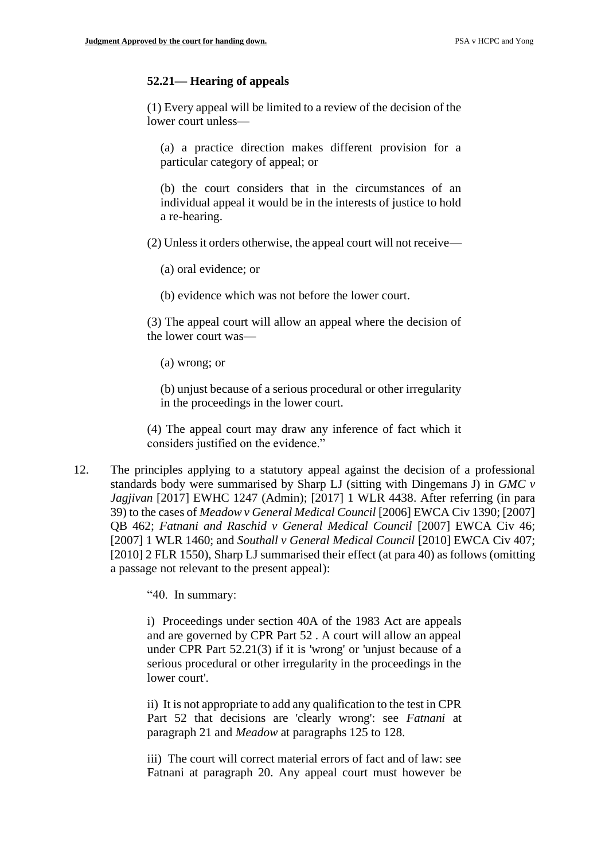### **52.21— Hearing of appeals**

(1) Every appeal will be limited to a review of the decision of the lower court unless—

(a) a practice direction makes different provision for a particular category of appeal; or

(b) the court considers that in the circumstances of an individual appeal it would be in the interests of justice to hold a re-hearing.

(2) Unless it orders otherwise, the appeal court will not receive—

(a) oral evidence; or

(b) evidence which was not before the lower court.

(3) The appeal court will allow an appeal where the decision of the lower court was—

(a) wrong; or

(b) unjust because of a serious procedural or other irregularity in the proceedings in the lower court.

(4) The appeal court may draw any inference of fact which it considers justified on the evidence."

12. The principles applying to a statutory appeal against the decision of a professional standards body were summarised by Sharp LJ (sitting with Dingemans J) in *GMC v Jagjivan* [2017] EWHC 1247 (Admin); [2017] 1 WLR 4438. After referring (in para 39) to the cases of *Meadow v General Medical Council* [2006] EWCA Civ 1390; [2007] QB 462; *Fatnani and Raschid v General Medical Council* [2007] EWCA Civ 46; [2007] 1 WLR 1460; and *Southall v General Medical Council* [2010] EWCA Civ 407; [2010] 2 FLR 1550), Sharp LJ summarised their effect (at para 40) as follows (omitting a passage not relevant to the present appeal):

"40. In summary:

i) Proceedings under section 40A of the 1983 Act are appeals and are governed by CPR Part 52 . A court will allow an appeal under CPR Part 52.21(3) if it is 'wrong' or 'unjust because of a serious procedural or other irregularity in the proceedings in the lower court'.

ii) It is not appropriate to add any qualification to the test in CPR Part 52 that decisions are 'clearly wrong': see *Fatnani* at paragraph 21 and *Meadow* at paragraphs 125 to 128.

iii) The court will correct material errors of fact and of law: see Fatnani at paragraph 20. Any appeal court must however be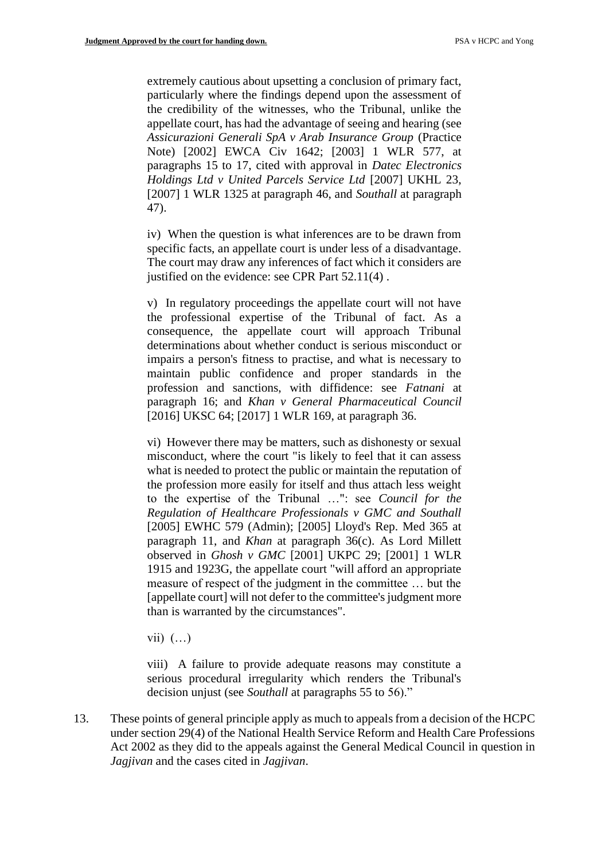extremely cautious about upsetting a conclusion of primary fact, particularly where the findings depend upon the assessment of the credibility of the witnesses, who the Tribunal, unlike the appellate court, has had the advantage of seeing and hearing (see *Assicurazioni Generali SpA v Arab Insurance Group* (Practice Note) [2002] EWCA Civ 1642; [2003] 1 WLR 577, at paragraphs 15 to 17, cited with approval in *Datec Electronics Holdings Ltd v United Parcels Service Ltd* [2007] UKHL 23, [2007] 1 WLR 1325 at paragraph 46, and *Southall* at paragraph 47).

iv) When the question is what inferences are to be drawn from specific facts, an appellate court is under less of a disadvantage. The court may draw any inferences of fact which it considers are justified on the evidence: see CPR Part 52.11(4).

v) In regulatory proceedings the appellate court will not have the professional expertise of the Tribunal of fact. As a consequence, the appellate court will approach Tribunal determinations about whether conduct is serious misconduct or impairs a person's fitness to practise, and what is necessary to maintain public confidence and proper standards in the profession and sanctions, with diffidence: see *Fatnani* at paragraph 16; and *Khan v General Pharmaceutical Council* [2016] UKSC 64; [2017] 1 WLR 169, at paragraph 36.

vi) However there may be matters, such as dishonesty or sexual misconduct, where the court "is likely to feel that it can assess what is needed to protect the public or maintain the reputation of the profession more easily for itself and thus attach less weight to the expertise of the Tribunal …": see *Council for the Regulation of Healthcare Professionals v GMC and Southall* [2005] EWHC 579 (Admin); [2005] Lloyd's Rep. Med 365 at paragraph 11, and *Khan* at paragraph 36(c). As Lord Millett observed in *Ghosh v GMC* [2001] UKPC 29; [2001] 1 WLR 1915 and 1923G, the appellate court "will afford an appropriate measure of respect of the judgment in the committee … but the [appellate court] will not defer to the committee's judgment more than is warranted by the circumstances".

vii)  $(...)$ 

viii) A failure to provide adequate reasons may constitute a serious procedural irregularity which renders the Tribunal's decision unjust (see *Southall* at paragraphs 55 to 56)."

13. These points of general principle apply as much to appeals from a decision of the HCPC under section 29(4) of the National Health Service Reform and Health Care Professions Act 2002 as they did to the appeals against the General Medical Council in question in *Jagjivan* and the cases cited in *Jagjivan*.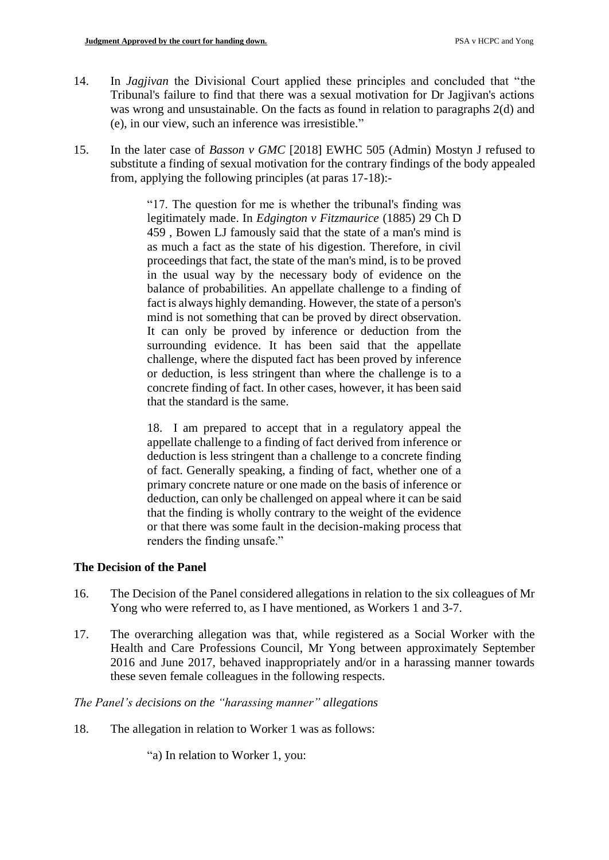- 14. In *Jagjivan* the Divisional Court applied these principles and concluded that "the Tribunal's failure to find that there was a sexual motivation for Dr Jagjivan's actions was wrong and unsustainable. On the facts as found in relation to paragraphs 2(d) and (e), in our view, such an inference was irresistible."
- 15. In the later case of *Basson v GMC* [2018] EWHC 505 (Admin) Mostyn J refused to substitute a finding of sexual motivation for the contrary findings of the body appealed from, applying the following principles (at paras 17-18):-

"17. The question for me is whether the tribunal's finding was legitimately made. In *Edgington v Fitzmaurice* (1885) 29 Ch D 459 , Bowen LJ famously said that the state of a man's mind is as much a fact as the state of his digestion. Therefore, in civil proceedings that fact, the state of the man's mind, is to be proved in the usual way by the necessary body of evidence on the balance of probabilities. An appellate challenge to a finding of fact is always highly demanding. However, the state of a person's mind is not something that can be proved by direct observation. It can only be proved by inference or deduction from the surrounding evidence. It has been said that the appellate challenge, where the disputed fact has been proved by inference or deduction, is less stringent than where the challenge is to a concrete finding of fact. In other cases, however, it has been said that the standard is the same.

18. I am prepared to accept that in a regulatory appeal the appellate challenge to a finding of fact derived from inference or deduction is less stringent than a challenge to a concrete finding of fact. Generally speaking, a finding of fact, whether one of a primary concrete nature or one made on the basis of inference or deduction, can only be challenged on appeal where it can be said that the finding is wholly contrary to the weight of the evidence or that there was some fault in the decision-making process that renders the finding unsafe."

# **The Decision of the Panel**

- 16. The Decision of the Panel considered allegations in relation to the six colleagues of Mr Yong who were referred to, as I have mentioned, as Workers 1 and 3-7.
- 17. The overarching allegation was that, while registered as a Social Worker with the Health and Care Professions Council, Mr Yong between approximately September 2016 and June 2017, behaved inappropriately and/or in a harassing manner towards these seven female colleagues in the following respects.

*The Panel's decisions on the "harassing manner" allegations*

18. The allegation in relation to Worker 1 was as follows:

"a) In relation to Worker 1, you: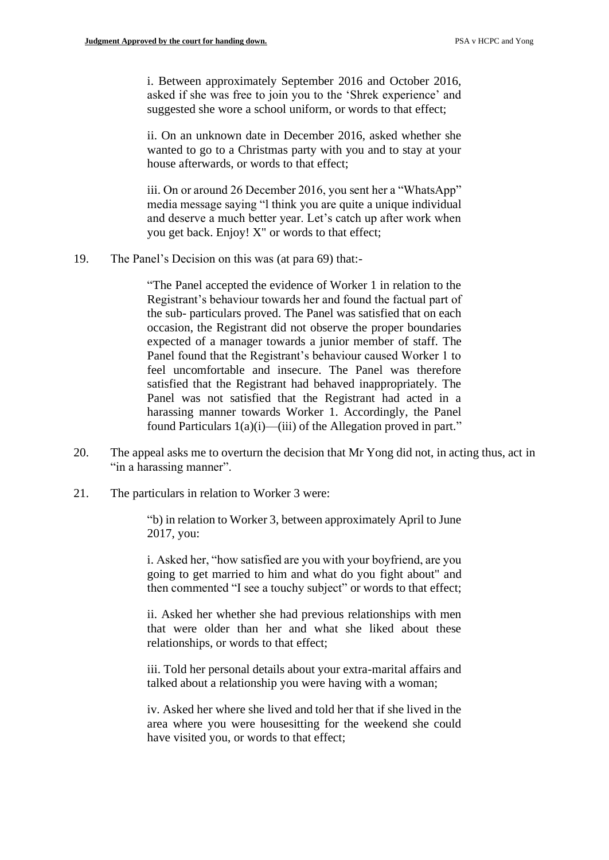i. Between approximately September 2016 and October 2016, asked if she was free to join you to the 'Shrek experience' and suggested she wore a school uniform, or words to that effect;

ii. On an unknown date in December 2016, asked whether she wanted to go to a Christmas party with you and to stay at your house afterwards, or words to that effect;

iii. On or around 26 December 2016, you sent her a "WhatsApp" media message saying "l think you are quite a unique individual and deserve a much better year. Let's catch up after work when you get back. Enjoy! X" or words to that effect;

19. The Panel's Decision on this was (at para 69) that:-

"The Panel accepted the evidence of Worker 1 in relation to the Registrant's behaviour towards her and found the factual part of the sub- particulars proved. The Panel was satisfied that on each occasion, the Registrant did not observe the proper boundaries expected of a manager towards a junior member of staff. The Panel found that the Registrant's behaviour caused Worker 1 to feel uncomfortable and insecure. The Panel was therefore satisfied that the Registrant had behaved inappropriately. The Panel was not satisfied that the Registrant had acted in a harassing manner towards Worker 1. Accordingly, the Panel found Particulars 1(a)(i)—(iii) of the Allegation proved in part."

- 20. The appeal asks me to overturn the decision that Mr Yong did not, in acting thus, act in "in a harassing manner".
- 21. The particulars in relation to Worker 3 were:

"b) in relation to Worker 3, between approximately April to June 2017, you:

i. Asked her, "how satisfied are you with your boyfriend, are you going to get married to him and what do you fight about" and then commented "I see a touchy subject" or words to that effect;

ii. Asked her whether she had previous relationships with men that were older than her and what she liked about these relationships, or words to that effect;

iii. Told her personal details about your extra-marital affairs and talked about a relationship you were having with a woman;

iv. Asked her where she lived and told her that if she lived in the area where you were housesitting for the weekend she could have visited you, or words to that effect;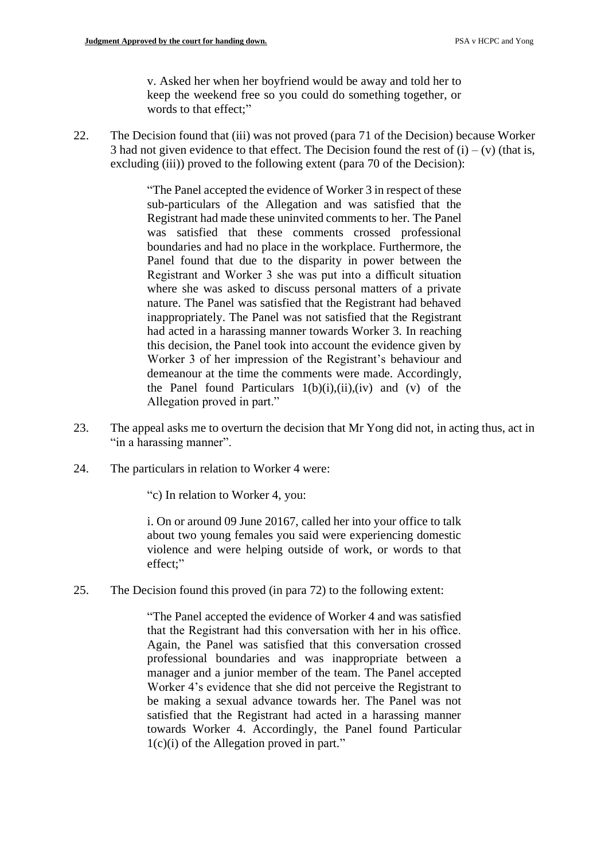v. Asked her when her boyfriend would be away and told her to keep the weekend free so you could do something together, or words to that effect;"

22. The Decision found that (iii) was not proved (para 71 of the Decision) because Worker 3 had not given evidence to that effect. The Decision found the rest of  $(i) - (v)$  (that is, excluding (iii)) proved to the following extent (para 70 of the Decision):

> "The Panel accepted the evidence of Worker 3 in respect of these sub-particulars of the Allegation and was satisfied that the Registrant had made these uninvited comments to her. The Panel was satisfied that these comments crossed professional boundaries and had no place in the workplace. Furthermore, the Panel found that due to the disparity in power between the Registrant and Worker 3 she was put into a difficult situation where she was asked to discuss personal matters of a private nature. The Panel was satisfied that the Registrant had behaved inappropriately. The Panel was not satisfied that the Registrant had acted in a harassing manner towards Worker 3. In reaching this decision, the Panel took into account the evidence given by Worker 3 of her impression of the Registrant's behaviour and demeanour at the time the comments were made. Accordingly, the Panel found Particulars  $1(b)(i),(ii),(iv)$  and  $(v)$  of the Allegation proved in part."

- 23. The appeal asks me to overturn the decision that Mr Yong did not, in acting thus, act in "in a harassing manner".
- 24. The particulars in relation to Worker 4 were:

"c) In relation to Worker 4, you:

i. On or around 09 June 20167, called her into your office to talk about two young females you said were experiencing domestic violence and were helping outside of work, or words to that effect;"

25. The Decision found this proved (in para 72) to the following extent:

"The Panel accepted the evidence of Worker 4 and was satisfied that the Registrant had this conversation with her in his office. Again, the Panel was satisfied that this conversation crossed professional boundaries and was inappropriate between a manager and a junior member of the team. The Panel accepted Worker 4's evidence that she did not perceive the Registrant to be making a sexual advance towards her. The Panel was not satisfied that the Registrant had acted in a harassing manner towards Worker 4. Accordingly, the Panel found Particular 1(c)(i) of the Allegation proved in part."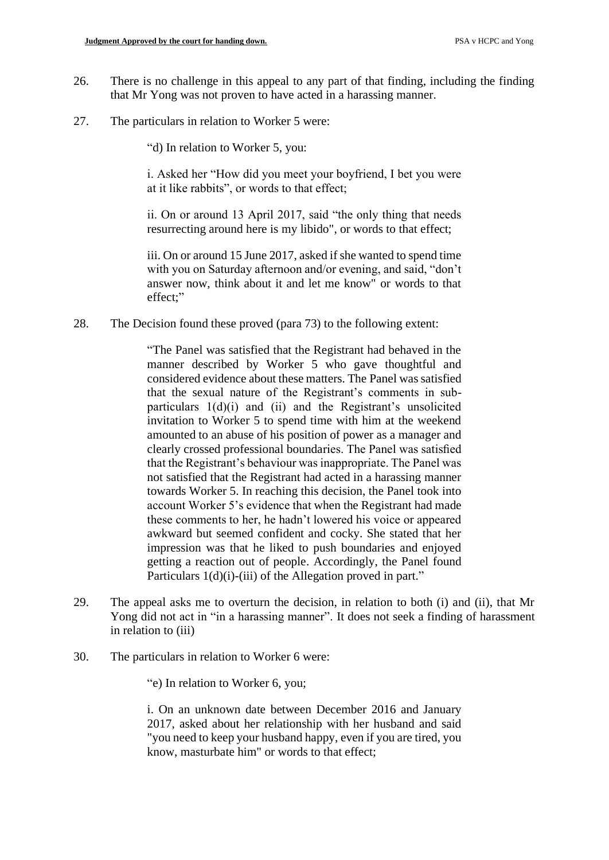- 26. There is no challenge in this appeal to any part of that finding, including the finding that Mr Yong was not proven to have acted in a harassing manner.
- 27. The particulars in relation to Worker 5 were:

"d) In relation to Worker 5, you:

i. Asked her "How did you meet your boyfriend, I bet you were at it like rabbits", or words to that effect;

ii. On or around 13 April 2017, said "the only thing that needs resurrecting around here is my libido", or words to that effect;

iii. On or around 15 June 2017, asked if she wanted to spend time with you on Saturday afternoon and/or evening, and said, "don't answer now, think about it and let me know" or words to that effect;"

28. The Decision found these proved (para 73) to the following extent:

"The Panel was satisfied that the Registrant had behaved in the manner described by Worker 5 who gave thoughtful and considered evidence about these matters. The Panel was satisfied that the sexual nature of the Registrant's comments in subparticulars 1(d)(i) and (ii) and the Registrant's unsolicited invitation to Worker 5 to spend time with him at the weekend amounted to an abuse of his position of power as a manager and clearly crossed professional boundaries. The Panel was satisfied that the Registrant's behaviour was inappropriate. The Panel was not satisfied that the Registrant had acted in a harassing manner towards Worker 5. In reaching this decision, the Panel took into account Worker 5's evidence that when the Registrant had made these comments to her, he hadn't lowered his voice or appeared awkward but seemed confident and cocky. She stated that her impression was that he liked to push boundaries and enjoyed getting a reaction out of people. Accordingly, the Panel found Particulars 1(d)(i)-(iii) of the Allegation proved in part."

- 29. The appeal asks me to overturn the decision, in relation to both (i) and (ii), that Mr Yong did not act in "in a harassing manner". It does not seek a finding of harassment in relation to (iii)
- 30. The particulars in relation to Worker 6 were:

"e) In relation to Worker 6, you;

i. On an unknown date between December 2016 and January 2017, asked about her relationship with her husband and said "you need to keep your husband happy, even if you are tired, you know, masturbate him" or words to that effect;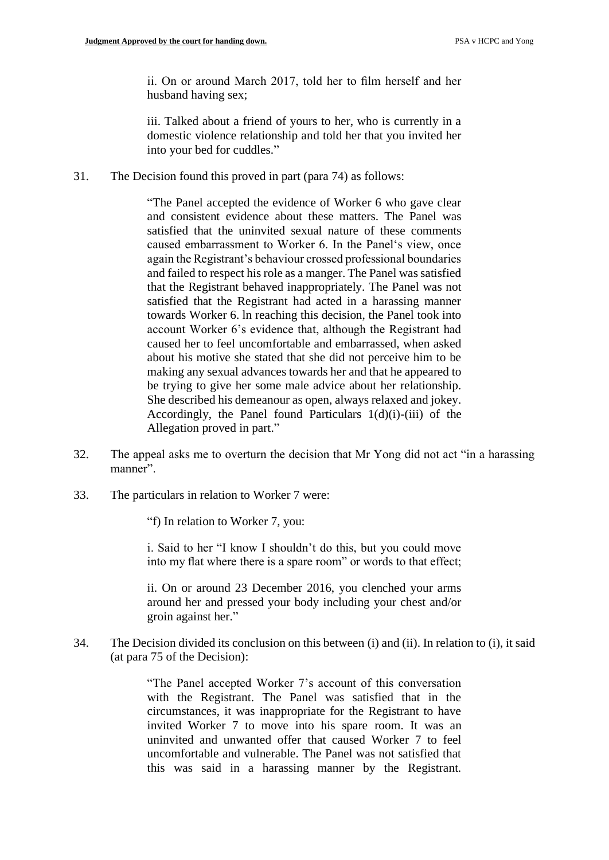ii. On or around March 2017, told her to film herself and her husband having sex;

iii. Talked about a friend of yours to her, who is currently in a domestic violence relationship and told her that you invited her into your bed for cuddles."

31. The Decision found this proved in part (para 74) as follows:

"The Panel accepted the evidence of Worker 6 who gave clear and consistent evidence about these matters. The Panel was satisfied that the uninvited sexual nature of these comments caused embarrassment to Worker 6. In the Panel's view, once again the Registrant's behaviour crossed professional boundaries and failed to respect his role as a manger. The Panel was satisfied that the Registrant behaved inappropriately. The Panel was not satisfied that the Registrant had acted in a harassing manner towards Worker 6. ln reaching this decision, the Panel took into account Worker 6's evidence that, although the Registrant had caused her to feel uncomfortable and embarrassed, when asked about his motive she stated that she did not perceive him to be making any sexual advances towards her and that he appeared to be trying to give her some male advice about her relationship. She described his demeanour as open, always relaxed and jokey. Accordingly, the Panel found Particulars 1(d)(i)-(iii) of the Allegation proved in part."

- 32. The appeal asks me to overturn the decision that Mr Yong did not act "in a harassing manner".
- 33. The particulars in relation to Worker 7 were:

"f) In relation to Worker 7, you:

i. Said to her "I know I shouldn't do this, but you could move into my flat where there is a spare room" or words to that effect;

ii. On or around 23 December 2016, you clenched your arms around her and pressed your body including your chest and/or groin against her."

34. The Decision divided its conclusion on this between (i) and (ii). In relation to (i), it said (at para 75 of the Decision):

> "The Panel accepted Worker 7's account of this conversation with the Registrant. The Panel was satisfied that in the circumstances, it was inappropriate for the Registrant to have invited Worker 7 to move into his spare room. It was an uninvited and unwanted offer that caused Worker 7 to feel uncomfortable and vulnerable. The Panel was not satisfied that this was said in a harassing manner by the Registrant.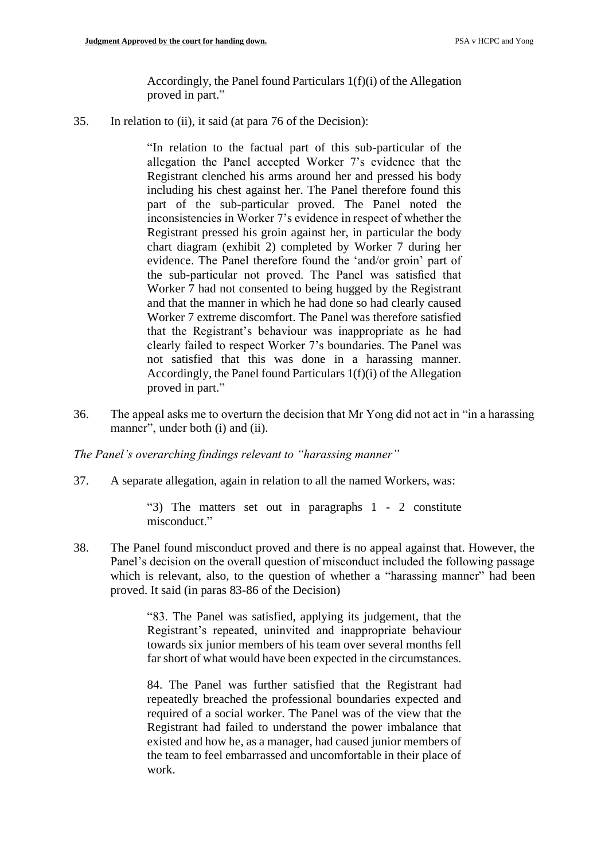Accordingly, the Panel found Particulars 1(f)(i) of the Allegation proved in part."

35. In relation to (ii), it said (at para 76 of the Decision):

"In relation to the factual part of this sub-particular of the allegation the Panel accepted Worker 7's evidence that the Registrant clenched his arms around her and pressed his body including his chest against her. The Panel therefore found this part of the sub-particular proved. The Panel noted the inconsistencies in Worker 7's evidence in respect of whether the Registrant pressed his groin against her, in particular the body chart diagram (exhibit 2) completed by Worker 7 during her evidence. The Panel therefore found the 'and/or groin' part of the sub-particular not proved. The Panel was satisfied that Worker 7 had not consented to being hugged by the Registrant and that the manner in which he had done so had clearly caused Worker 7 extreme discomfort. The Panel was therefore satisfied that the Registrant's behaviour was inappropriate as he had clearly failed to respect Worker 7's boundaries. The Panel was not satisfied that this was done in a harassing manner. Accordingly, the Panel found Particulars 1(f)(i) of the Allegation proved in part."

36. The appeal asks me to overturn the decision that Mr Yong did not act in "in a harassing manner", under both (i) and (ii).

*The Panel's overarching findings relevant to "harassing manner"*

37. A separate allegation, again in relation to all the named Workers, was:

"3) The matters set out in paragraphs 1 - 2 constitute misconduct."

38. The Panel found misconduct proved and there is no appeal against that. However, the Panel's decision on the overall question of misconduct included the following passage which is relevant, also, to the question of whether a "harassing manner" had been proved. It said (in paras 83-86 of the Decision)

> "83. The Panel was satisfied, applying its judgement, that the Registrant's repeated, uninvited and inappropriate behaviour towards six junior members of his team over several months fell far short of what would have been expected in the circumstances.

> 84. The Panel was further satisfied that the Registrant had repeatedly breached the professional boundaries expected and required of a social worker. The Panel was of the view that the Registrant had failed to understand the power imbalance that existed and how he, as a manager, had caused junior members of the team to feel embarrassed and uncomfortable in their place of work.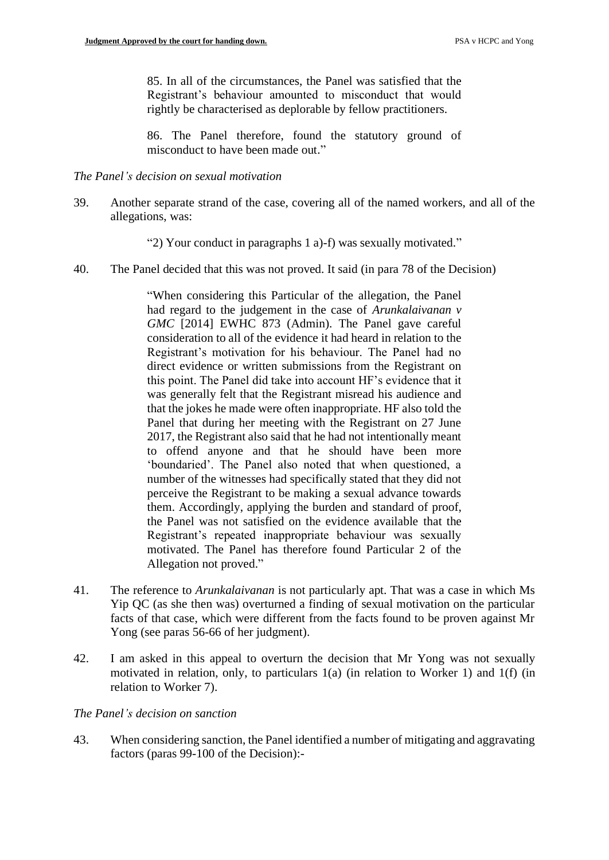85. In all of the circumstances, the Panel was satisfied that the Registrant's behaviour amounted to misconduct that would rightly be characterised as deplorable by fellow practitioners.

86. The Panel therefore, found the statutory ground of misconduct to have been made out."

### *The Panel's decision on sexual motivation*

- 39. Another separate strand of the case, covering all of the named workers, and all of the allegations, was:
	- "2) Your conduct in paragraphs 1 a)-f) was sexually motivated."
- 40. The Panel decided that this was not proved. It said (in para 78 of the Decision)

"When considering this Particular of the allegation, the Panel had regard to the judgement in the case of *Arunkalaivanan v GMC* [2014] EWHC 873 (Admin). The Panel gave careful consideration to all of the evidence it had heard in relation to the Registrant's motivation for his behaviour. The Panel had no direct evidence or written submissions from the Registrant on this point. The Panel did take into account HF's evidence that it was generally felt that the Registrant misread his audience and that the jokes he made were often inappropriate. HF also told the Panel that during her meeting with the Registrant on 27 June 2017, the Registrant also said that he had not intentionally meant to offend anyone and that he should have been more 'boundaried'. The Panel also noted that when questioned, a number of the witnesses had specifically stated that they did not perceive the Registrant to be making a sexual advance towards them. Accordingly, applying the burden and standard of proof, the Panel was not satisfied on the evidence available that the Registrant's repeated inappropriate behaviour was sexually motivated. The Panel has therefore found Particular 2 of the Allegation not proved."

- 41. The reference to *Arunkalaivanan* is not particularly apt. That was a case in which Ms Yip QC (as she then was) overturned a finding of sexual motivation on the particular facts of that case, which were different from the facts found to be proven against Mr Yong (see paras 56-66 of her judgment).
- 42. I am asked in this appeal to overturn the decision that Mr Yong was not sexually motivated in relation, only, to particulars 1(a) (in relation to Worker 1) and 1(f) (in relation to Worker 7).

# *The Panel's decision on sanction*

43. When considering sanction, the Panel identified a number of mitigating and aggravating factors (paras 99-100 of the Decision):-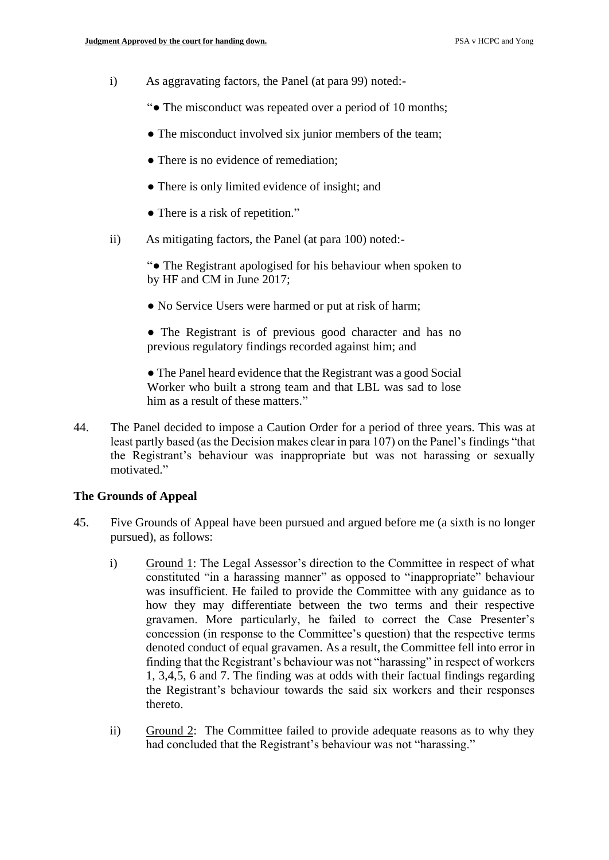- i) As aggravating factors, the Panel (at para 99) noted:-
	- "● The misconduct was repeated over a period of 10 months;
	- The misconduct involved six junior members of the team;
	- There is no evidence of remediation;
	- There is only limited evidence of insight; and
	- There is a risk of repetition."
- ii) As mitigating factors, the Panel (at para 100) noted:-

"● The Registrant apologised for his behaviour when spoken to by HF and CM in June 2017;

- No Service Users were harmed or put at risk of harm;
- The Registrant is of previous good character and has no previous regulatory findings recorded against him; and

● The Panel heard evidence that the Registrant was a good Social Worker who built a strong team and that LBL was sad to lose him as a result of these matters."

44. The Panel decided to impose a Caution Order for a period of three years. This was at least partly based (as the Decision makes clear in para 107) on the Panel's findings "that the Registrant's behaviour was inappropriate but was not harassing or sexually motivated."

#### **The Grounds of Appeal**

- 45. Five Grounds of Appeal have been pursued and argued before me (a sixth is no longer pursued), as follows:
	- i) Ground 1: The Legal Assessor's direction to the Committee in respect of what constituted "in a harassing manner" as opposed to "inappropriate" behaviour was insufficient. He failed to provide the Committee with any guidance as to how they may differentiate between the two terms and their respective gravamen. More particularly, he failed to correct the Case Presenter's concession (in response to the Committee's question) that the respective terms denoted conduct of equal gravamen. As a result, the Committee fell into error in finding that the Registrant's behaviour was not "harassing" in respect of workers 1, 3,4,5, 6 and 7. The finding was at odds with their factual findings regarding the Registrant's behaviour towards the said six workers and their responses thereto.
	- ii) Ground 2: The Committee failed to provide adequate reasons as to why they had concluded that the Registrant's behaviour was not "harassing."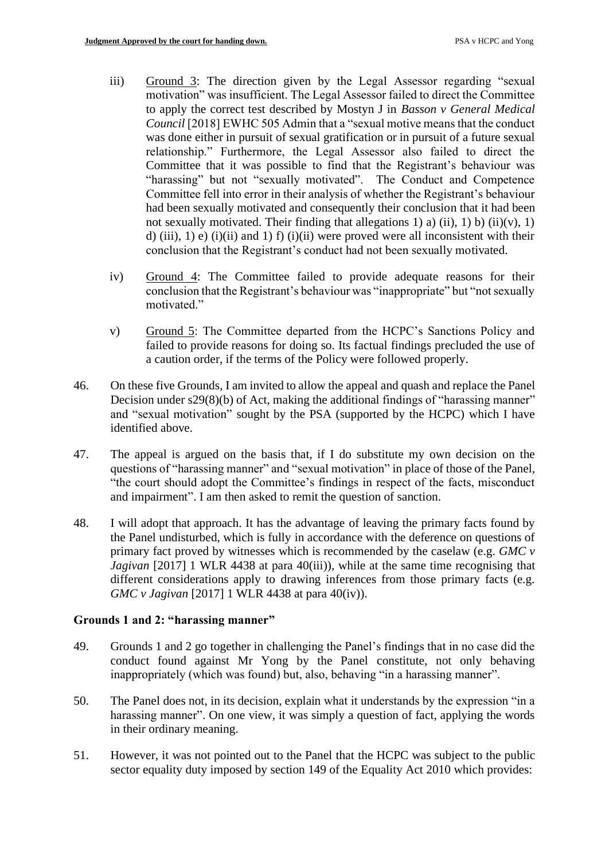- iii) Ground 3: The direction given by the Legal Assessor regarding "sexual motivation" was insufficient. The Legal Assessor failed to direct the Committee to apply the correct test described by Mostyn J in *Basson v General Medical Council* [2018] EWHC 505 Admin that a "sexual motive means that the conduct was done either in pursuit of sexual gratification or in pursuit of a future sexual relationship." Furthermore, the Legal Assessor also failed to direct the Committee that it was possible to find that the Registrant's behaviour was "harassing" but not "sexually motivated". The Conduct and Competence Committee fell into error in their analysis of whether the Registrant's behaviour had been sexually motivated and consequently their conclusion that it had been not sexually motivated. Their finding that allegations 1) a) (ii), 1) b) (ii)(v), 1) d) (iii), 1) e) (i)(ii) and 1) f) (i)(ii) were proved were all inconsistent with their conclusion that the Registrant's conduct had not been sexually motivated.
- iv) Ground 4: The Committee failed to provide adequate reasons for their conclusion that the Registrant's behaviour was "inappropriate" but "not sexually motivated."
- v) Ground 5: The Committee departed from the HCPC's Sanctions Policy and failed to provide reasons for doing so. Its factual findings precluded the use of a caution order, if the terms of the Policy were followed properly.
- 46. On these five Grounds, I am invited to allow the appeal and quash and replace the Panel Decision under s29(8)(b) of Act, making the additional findings of "harassing manner" and "sexual motivation" sought by the PSA (supported by the HCPC) which I have identified above.
- 47. The appeal is argued on the basis that, if I do substitute my own decision on the questions of "harassing manner" and "sexual motivation" in place of those of the Panel, "the court should adopt the Committee's findings in respect of the facts, misconduct and impairment". I am then asked to remit the question of sanction.
- 48. I will adopt that approach. It has the advantage of leaving the primary facts found by the Panel undisturbed, which is fully in accordance with the deference on questions of primary fact proved by witnesses which is recommended by the caselaw (e.g. *GMC v Jagivan* [2017] 1 WLR 4438 at para 40(iii)), while at the same time recognising that different considerations apply to drawing inferences from those primary facts (e.g. *GMC v Jagivan* [2017] 1 WLR 4438 at para 40(iv)).

# **Grounds 1 and 2: "harassing manner"**

- 49. Grounds 1 and 2 go together in challenging the Panel's findings that in no case did the conduct found against Mr Yong by the Panel constitute, not only behaving inappropriately (which was found) but, also, behaving "in a harassing manner".
- 50. The Panel does not, in its decision, explain what it understands by the expression "in a harassing manner". On one view, it was simply a question of fact, applying the words in their ordinary meaning.
- 51. However, it was not pointed out to the Panel that the HCPC was subject to the public sector equality duty imposed by section 149 of the Equality Act 2010 which provides: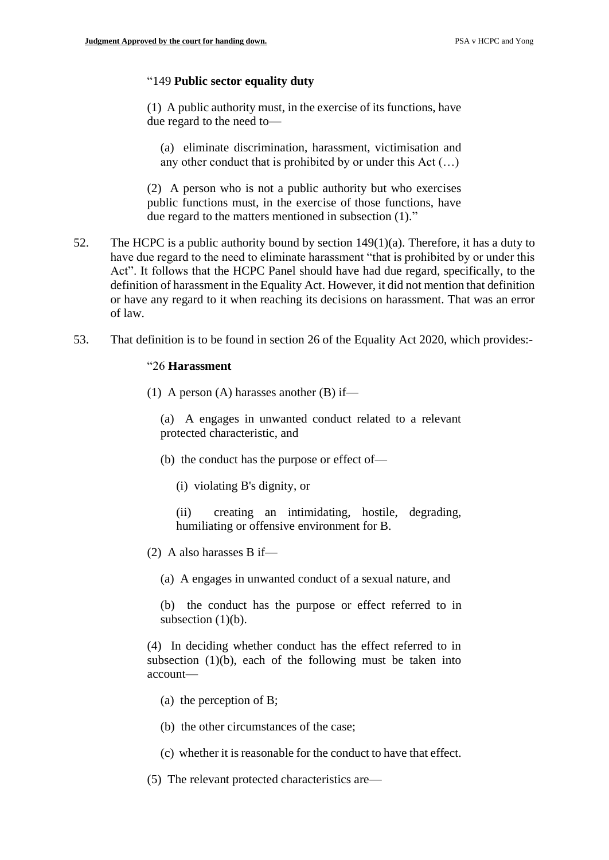### "149 **Public sector equality duty**

(1) A public authority must, in the exercise of its functions, have due regard to the need to—

(a) eliminate discrimination, harassment, victimisation and any other conduct that is prohibited by or under this Act (…)

(2) A person who is not a public authority but who exercises public functions must, in the exercise of those functions, have due regard to the matters mentioned in subsection (1)."

- 52. The HCPC is a public authority bound by section 149(1)(a). Therefore, it has a duty to have due regard to the need to eliminate harassment "that is prohibited by or under this Act". It follows that the HCPC Panel should have had due regard, specifically, to the definition of harassment in the Equality Act. However, it did not mention that definition or have any regard to it when reaching its decisions on harassment. That was an error of law.
- 53. That definition is to be found in section 26 of the Equality Act 2020, which provides:-

#### "26 **Harassment**

(1) A person (A) harasses another (B) if—

(a) A engages in unwanted conduct related to a relevant protected characteristic, and

- (b) the conduct has the purpose or effect of—
	- (i) violating B's dignity, or

(ii) creating an intimidating, hostile, degrading, humiliating or offensive environment for B.

- (2) A also harasses B if—
	- (a) A engages in unwanted conduct of a sexual nature, and

(b) the conduct has the purpose or effect referred to in subsection  $(1)(b)$ .

(4) In deciding whether conduct has the effect referred to in subsection  $(1)(b)$ , each of the following must be taken into account—

- (a) the perception of B;
- (b) the other circumstances of the case;
- (c) whether it is reasonable for the conduct to have that effect.
- (5) The relevant protected characteristics are—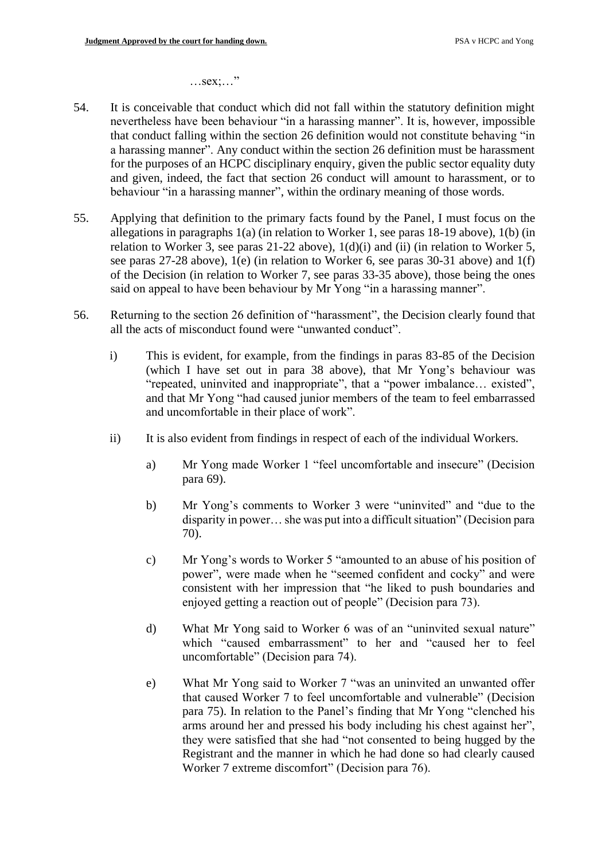…sex;…"

- 54. It is conceivable that conduct which did not fall within the statutory definition might nevertheless have been behaviour "in a harassing manner". It is, however, impossible that conduct falling within the section 26 definition would not constitute behaving "in a harassing manner". Any conduct within the section 26 definition must be harassment for the purposes of an HCPC disciplinary enquiry, given the public sector equality duty and given, indeed, the fact that section 26 conduct will amount to harassment, or to behaviour "in a harassing manner", within the ordinary meaning of those words.
- 55. Applying that definition to the primary facts found by the Panel, I must focus on the allegations in paragraphs 1(a) (in relation to Worker 1, see paras 18-19 above), 1(b) (in relation to Worker 3, see paras 21-22 above), 1(d)(i) and (ii) (in relation to Worker 5, see paras 27-28 above), 1(e) (in relation to Worker 6, see paras 30-31 above) and 1(f) of the Decision (in relation to Worker 7, see paras 33-35 above), those being the ones said on appeal to have been behaviour by Mr Yong "in a harassing manner".
- 56. Returning to the section 26 definition of "harassment", the Decision clearly found that all the acts of misconduct found were "unwanted conduct".
	- i) This is evident, for example, from the findings in paras 83-85 of the Decision (which I have set out in para 38 above), that Mr Yong's behaviour was "repeated, uninvited and inappropriate", that a "power imbalance... existed", and that Mr Yong "had caused junior members of the team to feel embarrassed and uncomfortable in their place of work".
	- ii) It is also evident from findings in respect of each of the individual Workers.
		- a) Mr Yong made Worker 1 "feel uncomfortable and insecure" (Decision para 69).
		- b) Mr Yong's comments to Worker 3 were "uninvited" and "due to the disparity in power… she was put into a difficult situation" (Decision para 70).
		- c) Mr Yong's words to Worker 5 "amounted to an abuse of his position of power", were made when he "seemed confident and cocky" and were consistent with her impression that "he liked to push boundaries and enjoyed getting a reaction out of people" (Decision para 73).
		- d) What Mr Yong said to Worker 6 was of an "uninvited sexual nature" which "caused embarrassment" to her and "caused her to feel uncomfortable" (Decision para 74).
		- e) What Mr Yong said to Worker 7 "was an uninvited an unwanted offer that caused Worker 7 to feel uncomfortable and vulnerable" (Decision para 75). In relation to the Panel's finding that Mr Yong "clenched his arms around her and pressed his body including his chest against her", they were satisfied that she had "not consented to being hugged by the Registrant and the manner in which he had done so had clearly caused Worker 7 extreme discomfort" (Decision para 76).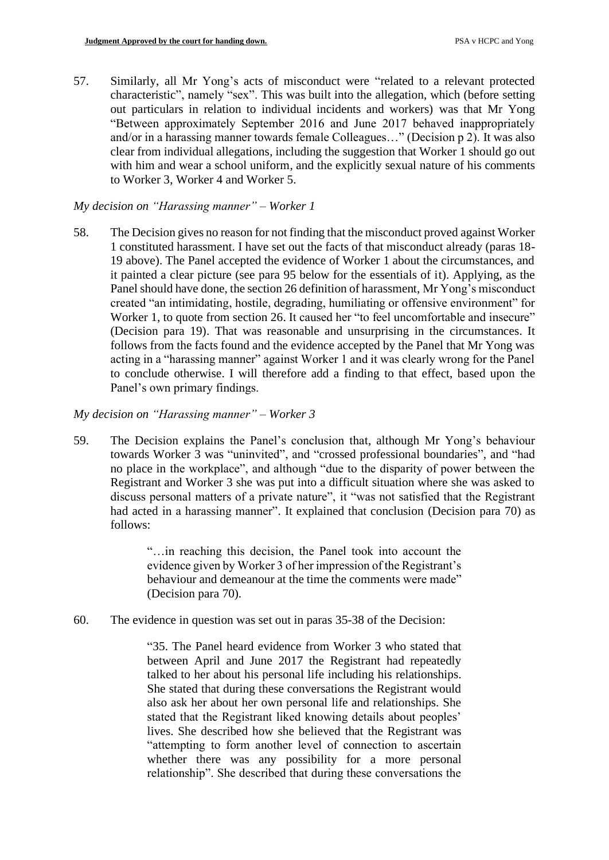57. Similarly, all Mr Yong's acts of misconduct were "related to a relevant protected characteristic", namely "sex". This was built into the allegation, which (before setting out particulars in relation to individual incidents and workers) was that Mr Yong "Between approximately September 2016 and June 2017 behaved inappropriately and/or in a harassing manner towards female Colleagues…" (Decision p 2). It was also clear from individual allegations, including the suggestion that Worker 1 should go out with him and wear a school uniform, and the explicitly sexual nature of his comments to Worker 3, Worker 4 and Worker 5.

## *My decision on "Harassing manner" – Worker 1*

58. The Decision gives no reason for not finding that the misconduct proved against Worker 1 constituted harassment. I have set out the facts of that misconduct already (paras 18- 19 above). The Panel accepted the evidence of Worker 1 about the circumstances, and it painted a clear picture (see para 95 below for the essentials of it). Applying, as the Panel should have done, the section 26 definition of harassment, Mr Yong's misconduct created "an intimidating, hostile, degrading, humiliating or offensive environment" for Worker 1, to quote from section 26. It caused her "to feel uncomfortable and insecure" (Decision para 19). That was reasonable and unsurprising in the circumstances. It follows from the facts found and the evidence accepted by the Panel that Mr Yong was acting in a "harassing manner" against Worker 1 and it was clearly wrong for the Panel to conclude otherwise. I will therefore add a finding to that effect, based upon the Panel's own primary findings.

# *My decision on "Harassing manner" – Worker 3*

59. The Decision explains the Panel's conclusion that, although Mr Yong's behaviour towards Worker 3 was "uninvited", and "crossed professional boundaries", and "had no place in the workplace", and although "due to the disparity of power between the Registrant and Worker 3 she was put into a difficult situation where she was asked to discuss personal matters of a private nature", it "was not satisfied that the Registrant had acted in a harassing manner". It explained that conclusion (Decision para 70) as follows:

> "…in reaching this decision, the Panel took into account the evidence given by Worker 3 of her impression of the Registrant's behaviour and demeanour at the time the comments were made" (Decision para 70).

60. The evidence in question was set out in paras 35-38 of the Decision:

"35. The Panel heard evidence from Worker 3 who stated that between April and June 2017 the Registrant had repeatedly talked to her about his personal life including his relationships. She stated that during these conversations the Registrant would also ask her about her own personal life and relationships. She stated that the Registrant liked knowing details about peoples' lives. She described how she believed that the Registrant was "attempting to form another level of connection to ascertain whether there was any possibility for a more personal relationship". She described that during these conversations the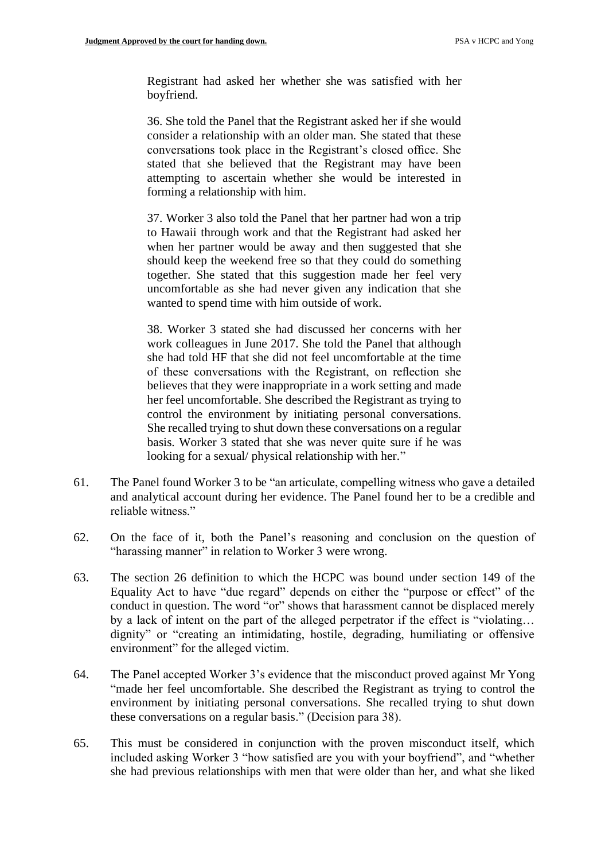Registrant had asked her whether she was satisfied with her boyfriend.

36. She told the Panel that the Registrant asked her if she would consider a relationship with an older man. She stated that these conversations took place in the Registrant's closed office. She stated that she believed that the Registrant may have been attempting to ascertain whether she would be interested in forming a relationship with him.

37. Worker 3 also told the Panel that her partner had won a trip to Hawaii through work and that the Registrant had asked her when her partner would be away and then suggested that she should keep the weekend free so that they could do something together. She stated that this suggestion made her feel very uncomfortable as she had never given any indication that she wanted to spend time with him outside of work.

38. Worker 3 stated she had discussed her concerns with her work colleagues in June 2017. She told the Panel that although she had told HF that she did not feel uncomfortable at the time of these conversations with the Registrant, on reflection she believes that they were inappropriate in a work setting and made her feel uncomfortable. She described the Registrant as trying to control the environment by initiating personal conversations. She recalled trying to shut down these conversations on a regular basis. Worker 3 stated that she was never quite sure if he was looking for a sexual/ physical relationship with her."

- 61. The Panel found Worker 3 to be "an articulate, compelling witness who gave a detailed and analytical account during her evidence. The Panel found her to be a credible and reliable witness."
- 62. On the face of it, both the Panel's reasoning and conclusion on the question of "harassing manner" in relation to Worker 3 were wrong.
- 63. The section 26 definition to which the HCPC was bound under section 149 of the Equality Act to have "due regard" depends on either the "purpose or effect" of the conduct in question. The word "or" shows that harassment cannot be displaced merely by a lack of intent on the part of the alleged perpetrator if the effect is "violating… dignity" or "creating an intimidating, hostile, degrading, humiliating or offensive environment" for the alleged victim.
- 64. The Panel accepted Worker 3's evidence that the misconduct proved against Mr Yong "made her feel uncomfortable. She described the Registrant as trying to control the environment by initiating personal conversations. She recalled trying to shut down these conversations on a regular basis." (Decision para 38).
- 65. This must be considered in conjunction with the proven misconduct itself, which included asking Worker 3 "how satisfied are you with your boyfriend", and "whether she had previous relationships with men that were older than her, and what she liked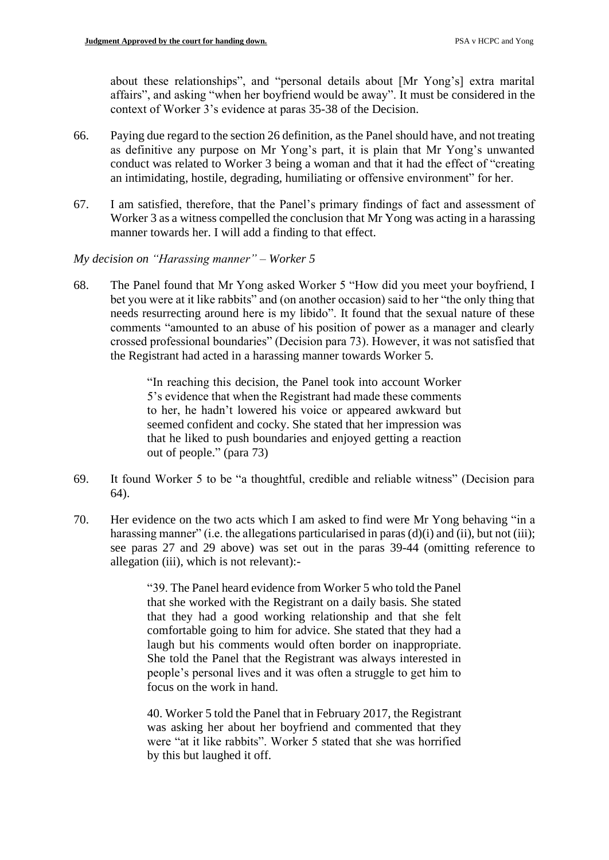about these relationships", and "personal details about [Mr Yong's] extra marital affairs", and asking "when her boyfriend would be away". It must be considered in the context of Worker 3's evidence at paras 35-38 of the Decision.

- 66. Paying due regard to the section 26 definition, as the Panel should have, and not treating as definitive any purpose on Mr Yong's part, it is plain that Mr Yong's unwanted conduct was related to Worker 3 being a woman and that it had the effect of "creating an intimidating, hostile, degrading, humiliating or offensive environment" for her.
- 67. I am satisfied, therefore, that the Panel's primary findings of fact and assessment of Worker 3 as a witness compelled the conclusion that Mr Yong was acting in a harassing manner towards her. I will add a finding to that effect.
- *My decision on "Harassing manner" – Worker 5*
- 68. The Panel found that Mr Yong asked Worker 5 "How did you meet your boyfriend, I bet you were at it like rabbits" and (on another occasion) said to her "the only thing that needs resurrecting around here is my libido". It found that the sexual nature of these comments "amounted to an abuse of his position of power as a manager and clearly crossed professional boundaries" (Decision para 73). However, it was not satisfied that the Registrant had acted in a harassing manner towards Worker 5.

"In reaching this decision, the Panel took into account Worker 5's evidence that when the Registrant had made these comments to her, he hadn't lowered his voice or appeared awkward but seemed confident and cocky. She stated that her impression was that he liked to push boundaries and enjoyed getting a reaction out of people." (para 73)

- 69. It found Worker 5 to be "a thoughtful, credible and reliable witness" (Decision para 64).
- 70. Her evidence on the two acts which I am asked to find were Mr Yong behaving "in a harassing manner" (i.e. the allegations particularised in paras (d)(i) and (ii), but not (iii); see paras 27 and 29 above) was set out in the paras 39-44 (omitting reference to allegation (iii), which is not relevant):-

"39. The Panel heard evidence from Worker 5 who told the Panel that she worked with the Registrant on a daily basis. She stated that they had a good working relationship and that she felt comfortable going to him for advice. She stated that they had a laugh but his comments would often border on inappropriate. She told the Panel that the Registrant was always interested in people's personal lives and it was often a struggle to get him to focus on the work in hand.

40. Worker 5 told the Panel that in February 2017, the Registrant was asking her about her boyfriend and commented that they were "at it like rabbits". Worker 5 stated that she was horrified by this but laughed it off.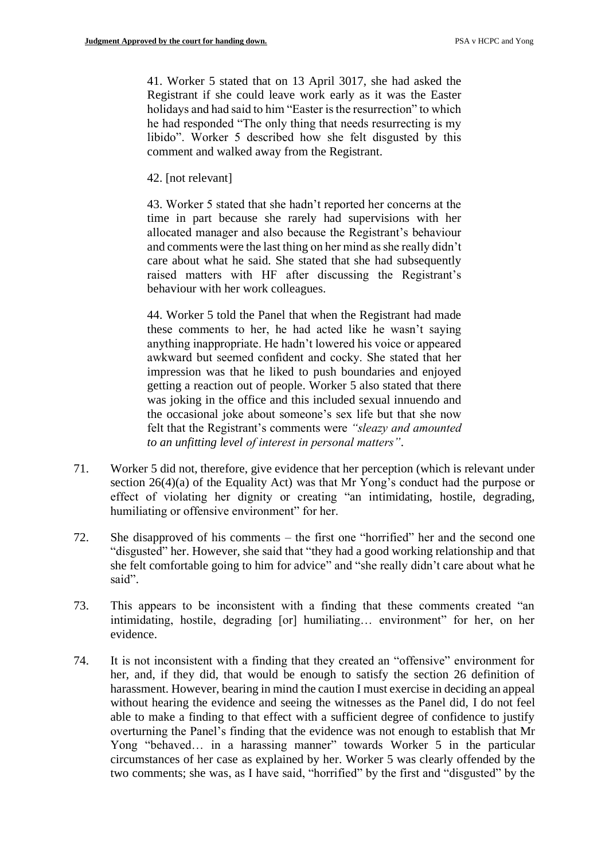41. Worker 5 stated that on 13 April 3017, she had asked the Registrant if she could leave work early as it was the Easter holidays and had said to him "Easter is the resurrection" to which he had responded "The only thing that needs resurrecting is my libido". Worker 5 described how she felt disgusted by this comment and walked away from the Registrant.

42. [not relevant]

43. Worker 5 stated that she hadn't reported her concerns at the time in part because she rarely had supervisions with her allocated manager and also because the Registrant's behaviour and comments were the last thing on her mind as she really didn't care about what he said. She stated that she had subsequently raised matters with HF after discussing the Registrant's behaviour with her work colleagues.

44. Worker 5 told the Panel that when the Registrant had made these comments to her, he had acted like he wasn't saying anything inappropriate. He hadn't lowered his voice or appeared awkward but seemed confident and cocky. She stated that her impression was that he liked to push boundaries and enjoyed getting a reaction out of people. Worker 5 also stated that there was joking in the office and this included sexual innuendo and the occasional joke about someone's sex life but that she now felt that the Registrant's comments were *"sleazy and amounted to an unfitting level of interest in personal matters"*.

- 71. Worker 5 did not, therefore, give evidence that her perception (which is relevant under section 26(4)(a) of the Equality Act) was that Mr Yong's conduct had the purpose or effect of violating her dignity or creating "an intimidating, hostile, degrading, humiliating or offensive environment" for her.
- 72. She disapproved of his comments the first one "horrified" her and the second one "disgusted" her. However, she said that "they had a good working relationship and that she felt comfortable going to him for advice" and "she really didn't care about what he said".
- 73. This appears to be inconsistent with a finding that these comments created "an intimidating, hostile, degrading [or] humiliating… environment" for her, on her evidence.
- 74. It is not inconsistent with a finding that they created an "offensive" environment for her, and, if they did, that would be enough to satisfy the section 26 definition of harassment. However, bearing in mind the caution I must exercise in deciding an appeal without hearing the evidence and seeing the witnesses as the Panel did, I do not feel able to make a finding to that effect with a sufficient degree of confidence to justify overturning the Panel's finding that the evidence was not enough to establish that Mr Yong "behaved… in a harassing manner" towards Worker 5 in the particular circumstances of her case as explained by her. Worker 5 was clearly offended by the two comments; she was, as I have said, "horrified" by the first and "disgusted" by the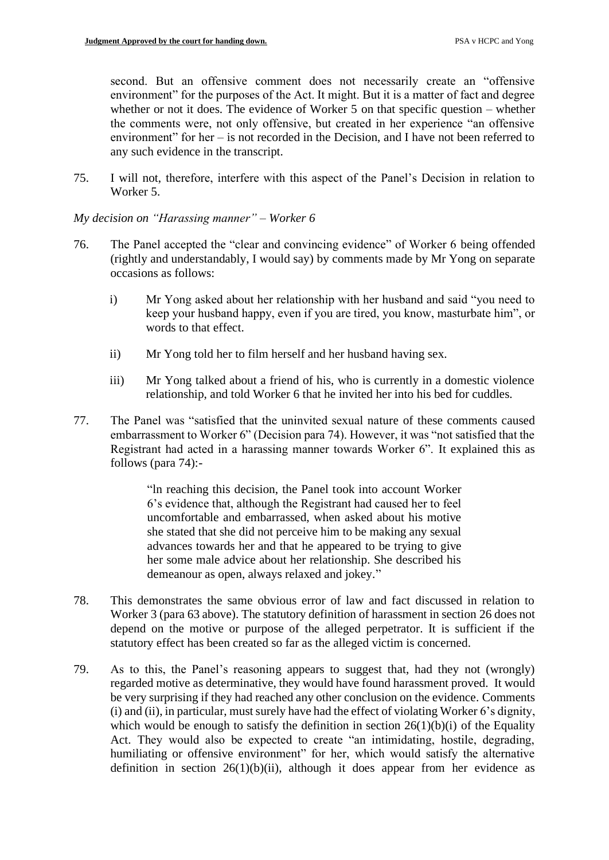second. But an offensive comment does not necessarily create an "offensive environment" for the purposes of the Act. It might. But it is a matter of fact and degree whether or not it does. The evidence of Worker 5 on that specific question – whether the comments were, not only offensive, but created in her experience "an offensive environment" for her – is not recorded in the Decision, and I have not been referred to any such evidence in the transcript.

75. I will not, therefore, interfere with this aspect of the Panel's Decision in relation to Worker 5.

*My decision on "Harassing manner" – Worker 6*

- 76. The Panel accepted the "clear and convincing evidence" of Worker 6 being offended (rightly and understandably, I would say) by comments made by Mr Yong on separate occasions as follows:
	- i) Mr Yong asked about her relationship with her husband and said "you need to keep your husband happy, even if you are tired, you know, masturbate him", or words to that effect.
	- ii) Mr Yong told her to film herself and her husband having sex.
	- iii) Mr Yong talked about a friend of his, who is currently in a domestic violence relationship, and told Worker 6 that he invited her into his bed for cuddles.
- 77. The Panel was "satisfied that the uninvited sexual nature of these comments caused embarrassment to Worker 6" (Decision para 74). However, it was "not satisfied that the Registrant had acted in a harassing manner towards Worker 6". It explained this as follows (para 74):-

"ln reaching this decision, the Panel took into account Worker 6's evidence that, although the Registrant had caused her to feel uncomfortable and embarrassed, when asked about his motive she stated that she did not perceive him to be making any sexual advances towards her and that he appeared to be trying to give her some male advice about her relationship. She described his demeanour as open, always relaxed and jokey."

- 78. This demonstrates the same obvious error of law and fact discussed in relation to Worker 3 (para 63 above). The statutory definition of harassment in section 26 does not depend on the motive or purpose of the alleged perpetrator. It is sufficient if the statutory effect has been created so far as the alleged victim is concerned.
- 79. As to this, the Panel's reasoning appears to suggest that, had they not (wrongly) regarded motive as determinative, they would have found harassment proved. It would be very surprising if they had reached any other conclusion on the evidence. Comments (i) and (ii), in particular, must surely have had the effect of violating Worker 6's dignity, which would be enough to satisfy the definition in section  $26(1)(b)(i)$  of the Equality Act. They would also be expected to create "an intimidating, hostile, degrading, humiliating or offensive environment" for her, which would satisfy the alternative definition in section  $26(1)(b)(ii)$ , although it does appear from her evidence as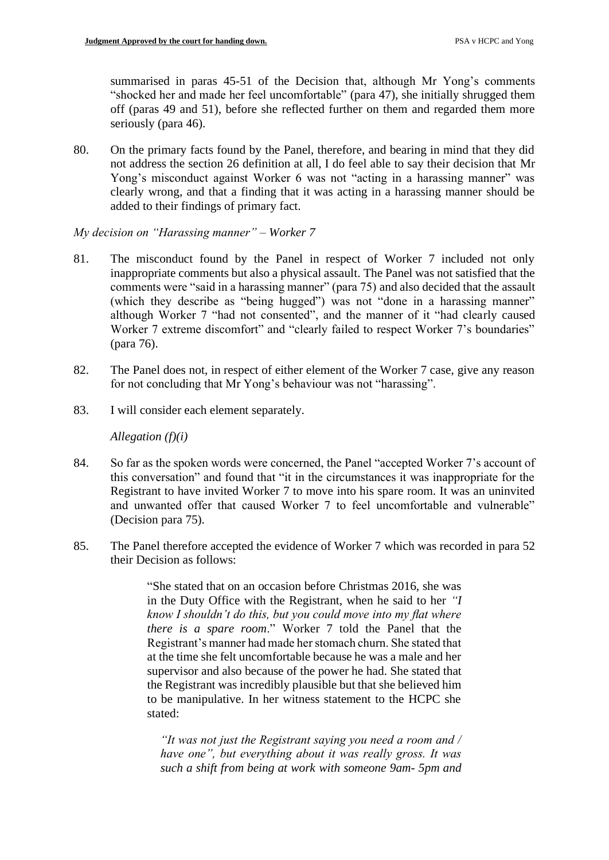summarised in paras 45-51 of the Decision that, although Mr Yong's comments "shocked her and made her feel uncomfortable" (para 47), she initially shrugged them off (paras 49 and 51), before she reflected further on them and regarded them more seriously (para 46).

80. On the primary facts found by the Panel, therefore, and bearing in mind that they did not address the section 26 definition at all, I do feel able to say their decision that Mr Yong's misconduct against Worker 6 was not "acting in a harassing manner" was clearly wrong, and that a finding that it was acting in a harassing manner should be added to their findings of primary fact.

*My decision on "Harassing manner" – Worker 7*

- 81. The misconduct found by the Panel in respect of Worker 7 included not only inappropriate comments but also a physical assault. The Panel was not satisfied that the comments were "said in a harassing manner" (para 75) and also decided that the assault (which they describe as "being hugged") was not "done in a harassing manner" although Worker 7 "had not consented", and the manner of it "had clearly caused Worker 7 extreme discomfort" and "clearly failed to respect Worker 7's boundaries" (para 76).
- 82. The Panel does not, in respect of either element of the Worker 7 case, give any reason for not concluding that Mr Yong's behaviour was not "harassing".
- 83. I will consider each element separately.

*Allegation (f)(i)*

- 84. So far as the spoken words were concerned, the Panel "accepted Worker 7's account of this conversation" and found that "it in the circumstances it was inappropriate for the Registrant to have invited Worker 7 to move into his spare room. It was an uninvited and unwanted offer that caused Worker 7 to feel uncomfortable and vulnerable" (Decision para 75).
- 85. The Panel therefore accepted the evidence of Worker 7 which was recorded in para 52 their Decision as follows:

"She stated that on an occasion before Christmas 2016, she was in the Duty Office with the Registrant, when he said to her *"I know I shouldn't do this, but you could move into my flat where there is a spare room*." Worker 7 told the Panel that the Registrant's manner had made her stomach churn. She stated that at the time she felt uncomfortable because he was a male and her supervisor and also because of the power he had. She stated that the Registrant was incredibly plausible but that she believed him to be manipulative. In her witness statement to the HCPC she stated:

*"It was not just the Registrant saying you need a room and / have one", but everything about it was really gross. It was such a shift from being at work with someone 9am- 5pm and*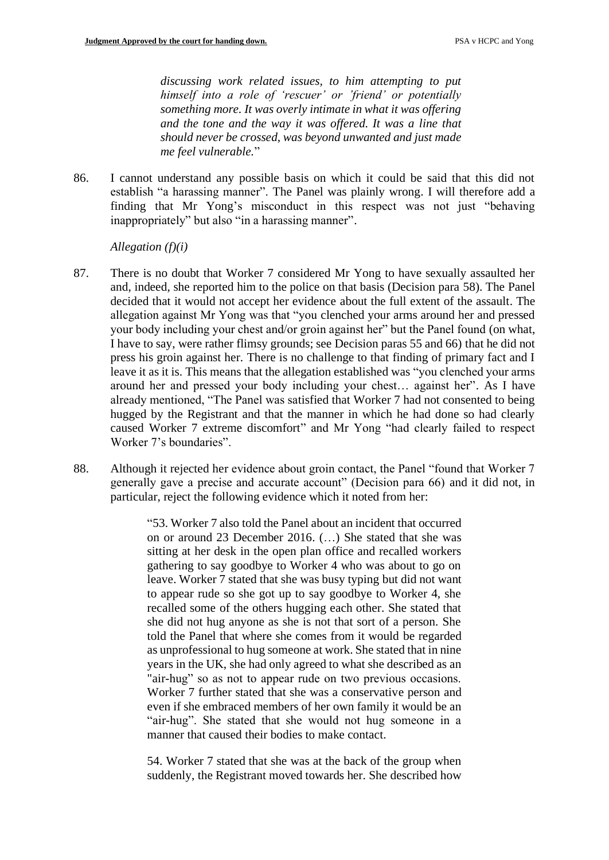*discussing work related issues, to him attempting to put himself into a role of 'rescuer' or 'friend' or potentially something more. It was overly intimate in what it was offering and the tone and the way it was offered. It was a line that should never be crossed, was beyond unwanted and just made me feel vulnerable.*"

86. I cannot understand any possible basis on which it could be said that this did not establish "a harassing manner". The Panel was plainly wrong. I will therefore add a finding that Mr Yong's misconduct in this respect was not just "behaving inappropriately" but also "in a harassing manner".

*Allegation (f)(i)*

- 87. There is no doubt that Worker 7 considered Mr Yong to have sexually assaulted her and, indeed, she reported him to the police on that basis (Decision para 58). The Panel decided that it would not accept her evidence about the full extent of the assault. The allegation against Mr Yong was that "you clenched your arms around her and pressed your body including your chest and/or groin against her" but the Panel found (on what, I have to say, were rather flimsy grounds; see Decision paras 55 and 66) that he did not press his groin against her. There is no challenge to that finding of primary fact and I leave it as it is. This means that the allegation established was "you clenched your arms around her and pressed your body including your chest… against her". As I have already mentioned, "The Panel was satisfied that Worker 7 had not consented to being hugged by the Registrant and that the manner in which he had done so had clearly caused Worker 7 extreme discomfort" and Mr Yong "had clearly failed to respect Worker 7's boundaries".
- 88. Although it rejected her evidence about groin contact, the Panel "found that Worker 7 generally gave a precise and accurate account" (Decision para 66) and it did not, in particular, reject the following evidence which it noted from her:

"53. Worker 7 also told the Panel about an incident that occurred on or around 23 December 2016. (…) She stated that she was sitting at her desk in the open plan office and recalled workers gathering to say goodbye to Worker 4 who was about to go on leave. Worker 7 stated that she was busy typing but did not want to appear rude so she got up to say goodbye to Worker 4, she recalled some of the others hugging each other. She stated that she did not hug anyone as she is not that sort of a person. She told the Panel that where she comes from it would be regarded as unprofessional to hug someone at work. She stated that in nine years in the UK, she had only agreed to what she described as an "air-hug" so as not to appear rude on two previous occasions. Worker 7 further stated that she was a conservative person and even if she embraced members of her own family it would be an "air-hug". She stated that she would not hug someone in a manner that caused their bodies to make contact.

54. Worker 7 stated that she was at the back of the group when suddenly, the Registrant moved towards her. She described how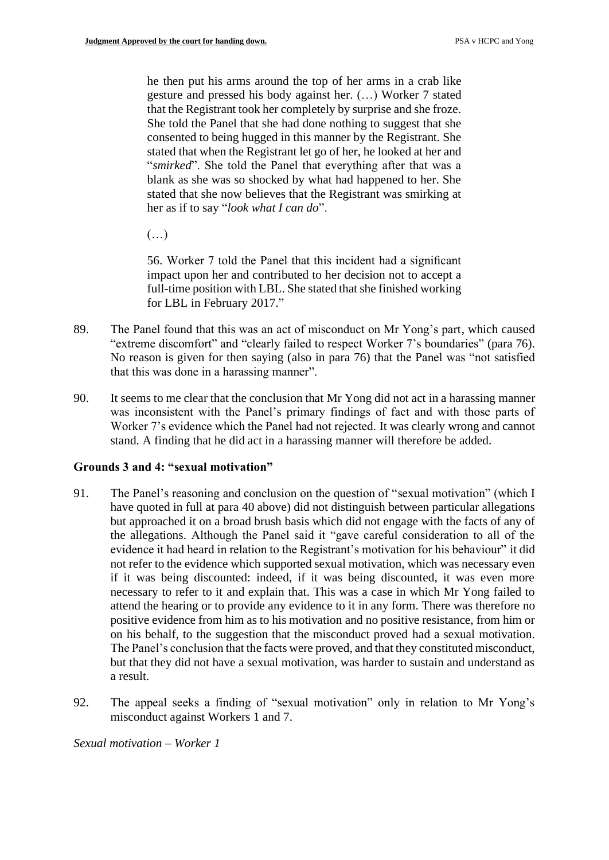he then put his arms around the top of her arms in a crab like gesture and pressed his body against her. (…) Worker 7 stated that the Registrant took her completely by surprise and she froze. She told the Panel that she had done nothing to suggest that she consented to being hugged in this manner by the Registrant. She stated that when the Registrant let go of her, he looked at her and "*smirked*". She told the Panel that everything after that was a blank as she was so shocked by what had happened to her. She stated that she now believes that the Registrant was smirking at her as if to say "*look what I can do*".

(…)

56. Worker 7 told the Panel that this incident had a significant impact upon her and contributed to her decision not to accept a full-time position with LBL. She stated that she finished working for LBL in February 2017."

- 89. The Panel found that this was an act of misconduct on Mr Yong's part, which caused "extreme discomfort" and "clearly failed to respect Worker 7's boundaries" (para 76). No reason is given for then saying (also in para 76) that the Panel was "not satisfied that this was done in a harassing manner".
- 90. It seems to me clear that the conclusion that Mr Yong did not act in a harassing manner was inconsistent with the Panel's primary findings of fact and with those parts of Worker 7's evidence which the Panel had not rejected. It was clearly wrong and cannot stand. A finding that he did act in a harassing manner will therefore be added.

## **Grounds 3 and 4: "sexual motivation"**

- 91. The Panel's reasoning and conclusion on the question of "sexual motivation" (which I have quoted in full at para 40 above) did not distinguish between particular allegations but approached it on a broad brush basis which did not engage with the facts of any of the allegations. Although the Panel said it "gave careful consideration to all of the evidence it had heard in relation to the Registrant's motivation for his behaviour" it did not refer to the evidence which supported sexual motivation, which was necessary even if it was being discounted: indeed, if it was being discounted, it was even more necessary to refer to it and explain that. This was a case in which Mr Yong failed to attend the hearing or to provide any evidence to it in any form. There was therefore no positive evidence from him as to his motivation and no positive resistance, from him or on his behalf, to the suggestion that the misconduct proved had a sexual motivation. The Panel's conclusion that the facts were proved, and that they constituted misconduct, but that they did not have a sexual motivation, was harder to sustain and understand as a result.
- 92. The appeal seeks a finding of "sexual motivation" only in relation to Mr Yong's misconduct against Workers 1 and 7.

*Sexual motivation – Worker 1*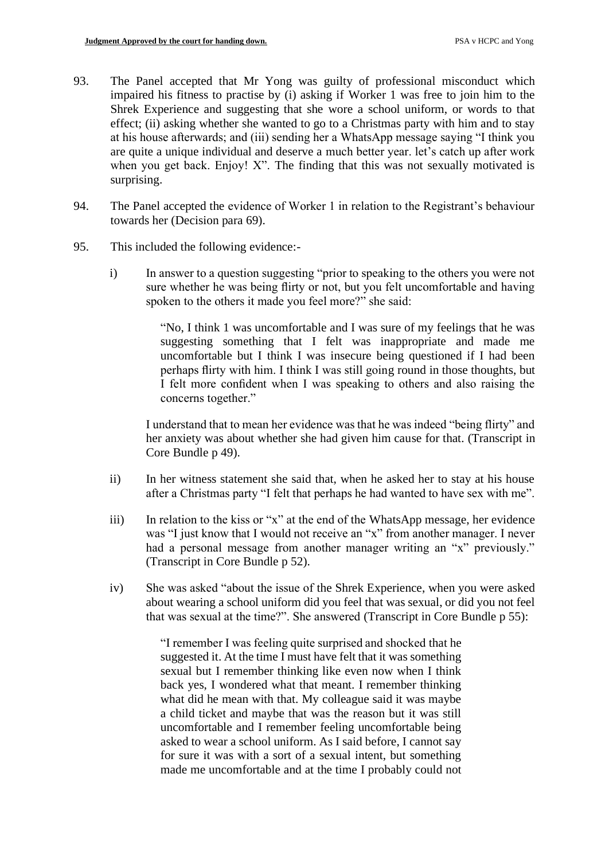- 93. The Panel accepted that Mr Yong was guilty of professional misconduct which impaired his fitness to practise by (i) asking if Worker 1 was free to join him to the Shrek Experience and suggesting that she wore a school uniform, or words to that effect; (ii) asking whether she wanted to go to a Christmas party with him and to stay at his house afterwards; and (iii) sending her a WhatsApp message saying "I think you are quite a unique individual and deserve a much better year. let's catch up after work when you get back. Enjoy! X". The finding that this was not sexually motivated is surprising.
- 94. The Panel accepted the evidence of Worker 1 in relation to the Registrant's behaviour towards her (Decision para 69).
- 95. This included the following evidence:
	- i) In answer to a question suggesting "prior to speaking to the others you were not sure whether he was being flirty or not, but you felt uncomfortable and having spoken to the others it made you feel more?" she said:

"No, I think 1 was uncomfortable and I was sure of my feelings that he was suggesting something that I felt was inappropriate and made me uncomfortable but I think I was insecure being questioned if I had been perhaps flirty with him. I think I was still going round in those thoughts, but I felt more confident when I was speaking to others and also raising the concerns together."

I understand that to mean her evidence was that he was indeed "being flirty" and her anxiety was about whether she had given him cause for that. (Transcript in Core Bundle p 49).

- ii) In her witness statement she said that, when he asked her to stay at his house after a Christmas party "I felt that perhaps he had wanted to have sex with me".
- iii) In relation to the kiss or "x" at the end of the WhatsApp message, her evidence was "I just know that I would not receive an "x" from another manager. I never had a personal message from another manager writing an "x" previously." (Transcript in Core Bundle p 52).
- iv) She was asked "about the issue of the Shrek Experience, when you were asked about wearing a school uniform did you feel that was sexual, or did you not feel that was sexual at the time?". She answered (Transcript in Core Bundle p 55):

"I remember I was feeling quite surprised and shocked that he suggested it. At the time I must have felt that it was something sexual but I remember thinking like even now when I think back yes, I wondered what that meant. I remember thinking what did he mean with that. My colleague said it was maybe a child ticket and maybe that was the reason but it was still uncomfortable and I remember feeling uncomfortable being asked to wear a school uniform. As I said before, I cannot say for sure it was with a sort of a sexual intent, but something made me uncomfortable and at the time I probably could not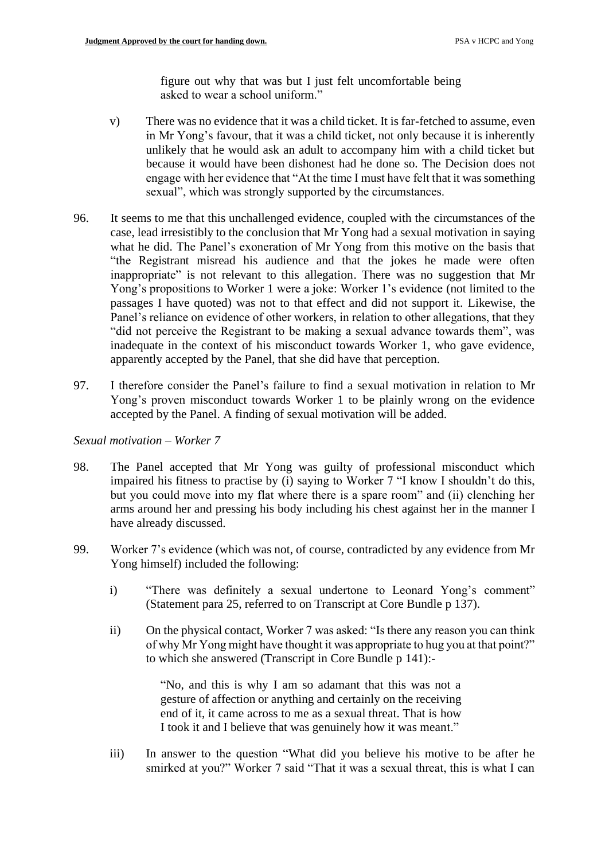figure out why that was but I just felt uncomfortable being asked to wear a school uniform."

- v) There was no evidence that it was a child ticket. It is far-fetched to assume, even in Mr Yong's favour, that it was a child ticket, not only because it is inherently unlikely that he would ask an adult to accompany him with a child ticket but because it would have been dishonest had he done so. The Decision does not engage with her evidence that "At the time I must have felt that it was something sexual", which was strongly supported by the circumstances.
- 96. It seems to me that this unchallenged evidence, coupled with the circumstances of the case, lead irresistibly to the conclusion that Mr Yong had a sexual motivation in saying what he did. The Panel's exoneration of Mr Yong from this motive on the basis that "the Registrant misread his audience and that the jokes he made were often inappropriate" is not relevant to this allegation. There was no suggestion that Mr Yong's propositions to Worker 1 were a joke: Worker 1's evidence (not limited to the passages I have quoted) was not to that effect and did not support it. Likewise, the Panel's reliance on evidence of other workers, in relation to other allegations, that they "did not perceive the Registrant to be making a sexual advance towards them", was inadequate in the context of his misconduct towards Worker 1, who gave evidence, apparently accepted by the Panel, that she did have that perception.
- 97. I therefore consider the Panel's failure to find a sexual motivation in relation to Mr Yong's proven misconduct towards Worker 1 to be plainly wrong on the evidence accepted by the Panel. A finding of sexual motivation will be added.

*Sexual motivation – Worker 7*

- 98. The Panel accepted that Mr Yong was guilty of professional misconduct which impaired his fitness to practise by (i) saying to Worker 7 "I know I shouldn't do this, but you could move into my flat where there is a spare room" and (ii) clenching her arms around her and pressing his body including his chest against her in the manner I have already discussed.
- 99. Worker 7's evidence (which was not, of course, contradicted by any evidence from Mr Yong himself) included the following:
	- i) "There was definitely a sexual undertone to Leonard Yong's comment" (Statement para 25, referred to on Transcript at Core Bundle p 137).
	- ii) On the physical contact, Worker 7 was asked: "Is there any reason you can think of why Mr Yong might have thought it was appropriate to hug you at that point?" to which she answered (Transcript in Core Bundle p 141):-

"No, and this is why I am so adamant that this was not a gesture of affection or anything and certainly on the receiving end of it, it came across to me as a sexual threat. That is how I took it and I believe that was genuinely how it was meant."

iii) In answer to the question "What did you believe his motive to be after he smirked at you?" Worker 7 said "That it was a sexual threat, this is what I can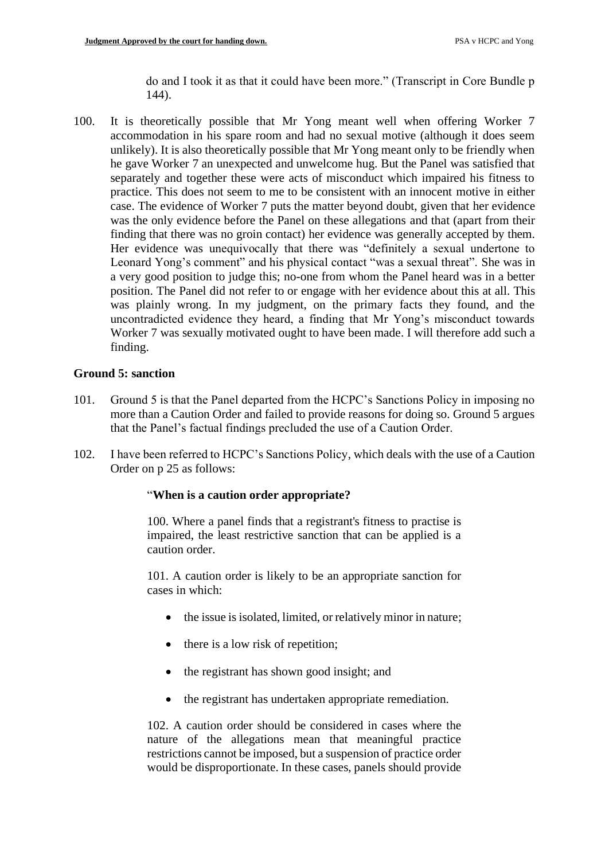do and I took it as that it could have been more." (Transcript in Core Bundle p 144).

100. It is theoretically possible that Mr Yong meant well when offering Worker 7 accommodation in his spare room and had no sexual motive (although it does seem unlikely). It is also theoretically possible that Mr Yong meant only to be friendly when he gave Worker 7 an unexpected and unwelcome hug. But the Panel was satisfied that separately and together these were acts of misconduct which impaired his fitness to practice. This does not seem to me to be consistent with an innocent motive in either case. The evidence of Worker 7 puts the matter beyond doubt, given that her evidence was the only evidence before the Panel on these allegations and that (apart from their finding that there was no groin contact) her evidence was generally accepted by them. Her evidence was unequivocally that there was "definitely a sexual undertone to Leonard Yong's comment" and his physical contact "was a sexual threat". She was in a very good position to judge this; no-one from whom the Panel heard was in a better position. The Panel did not refer to or engage with her evidence about this at all. This was plainly wrong. In my judgment, on the primary facts they found, and the uncontradicted evidence they heard, a finding that Mr Yong's misconduct towards Worker 7 was sexually motivated ought to have been made. I will therefore add such a finding.

# **Ground 5: sanction**

- 101. Ground 5 is that the Panel departed from the HCPC's Sanctions Policy in imposing no more than a Caution Order and failed to provide reasons for doing so. Ground 5 argues that the Panel's factual findings precluded the use of a Caution Order.
- 102. I have been referred to HCPC's Sanctions Policy, which deals with the use of a Caution Order on p 25 as follows:

## "**When is a caution order appropriate?**

100. Where a panel finds that a registrant's fitness to practise is impaired, the least restrictive sanction that can be applied is a caution order.

101. A caution order is likely to be an appropriate sanction for cases in which:

- the issue is isolated, limited, or relatively minor in nature;
- there is a low risk of repetition;
- the registrant has shown good insight; and
- the registrant has undertaken appropriate remediation.

102. A caution order should be considered in cases where the nature of the allegations mean that meaningful practice restrictions cannot be imposed, but a suspension of practice order would be disproportionate. In these cases, panels should provide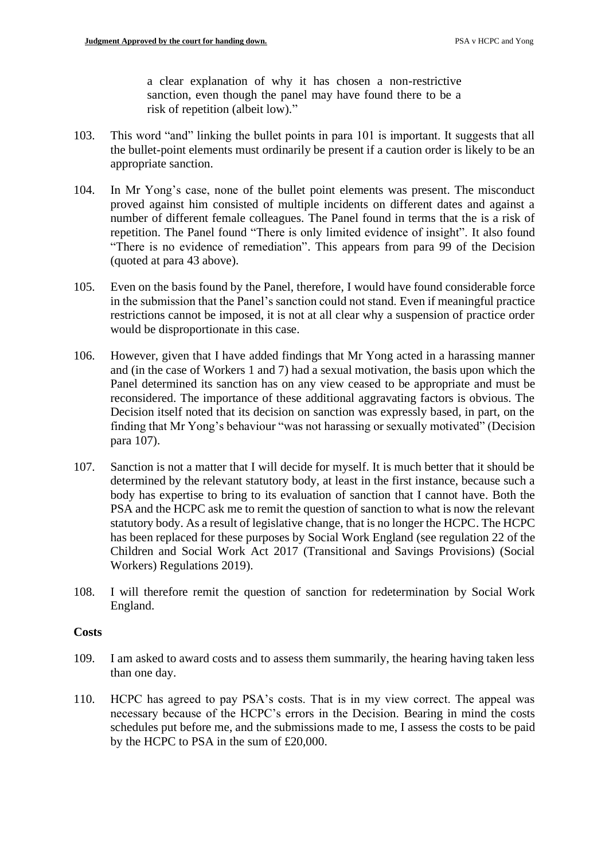a clear explanation of why it has chosen a non-restrictive sanction, even though the panel may have found there to be a risk of repetition (albeit low)."

- 103. This word "and" linking the bullet points in para 101 is important. It suggests that all the bullet-point elements must ordinarily be present if a caution order is likely to be an appropriate sanction.
- 104. In Mr Yong's case, none of the bullet point elements was present. The misconduct proved against him consisted of multiple incidents on different dates and against a number of different female colleagues. The Panel found in terms that the is a risk of repetition. The Panel found "There is only limited evidence of insight". It also found "There is no evidence of remediation". This appears from para 99 of the Decision (quoted at para 43 above).
- 105. Even on the basis found by the Panel, therefore, I would have found considerable force in the submission that the Panel's sanction could not stand. Even if meaningful practice restrictions cannot be imposed, it is not at all clear why a suspension of practice order would be disproportionate in this case.
- 106. However, given that I have added findings that Mr Yong acted in a harassing manner and (in the case of Workers 1 and 7) had a sexual motivation, the basis upon which the Panel determined its sanction has on any view ceased to be appropriate and must be reconsidered. The importance of these additional aggravating factors is obvious. The Decision itself noted that its decision on sanction was expressly based, in part, on the finding that Mr Yong's behaviour "was not harassing or sexually motivated" (Decision para 107).
- 107. Sanction is not a matter that I will decide for myself. It is much better that it should be determined by the relevant statutory body, at least in the first instance, because such a body has expertise to bring to its evaluation of sanction that I cannot have. Both the PSA and the HCPC ask me to remit the question of sanction to what is now the relevant statutory body. As a result of legislative change, that is no longer the HCPC. The HCPC has been replaced for these purposes by Social Work England (see regulation 22 of the Children and Social Work Act 2017 (Transitional and Savings Provisions) (Social Workers) Regulations 2019).
- 108. I will therefore remit the question of sanction for redetermination by Social Work England.

## **Costs**

- 109. I am asked to award costs and to assess them summarily, the hearing having taken less than one day.
- 110. HCPC has agreed to pay PSA's costs. That is in my view correct. The appeal was necessary because of the HCPC's errors in the Decision. Bearing in mind the costs schedules put before me, and the submissions made to me, I assess the costs to be paid by the HCPC to PSA in the sum of £20,000.